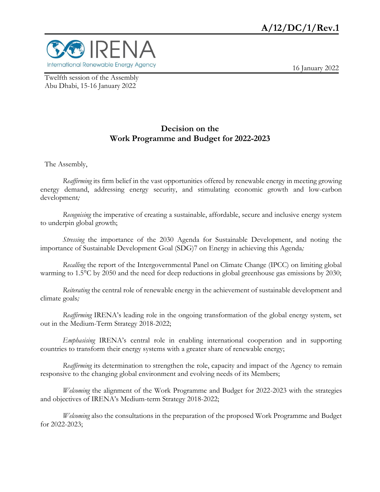

16 January 2022

Twelfth session of the Assembly Abu Dhabi, 15-16 January 2022

## **Decision on the Work Programme and Budget for 2022-2023**

The Assembly,

*Reaffirming* its firm belief in the vast opportunities offered by renewable energy in meeting growing energy demand, addressing energy security, and stimulating economic growth and low-carbon development*;* 

*Recognising* the imperative of creating a sustainable, affordable, secure and inclusive energy system to underpin global growth;

*Stressing* the importance of the 2030 Agenda for Sustainable Development, and noting the importance of Sustainable Development Goal (SDG)7 on Energy in achieving this Agenda*;* 

*Recalling* the report of the Intergovernmental Panel on Climate Change (IPCC) on limiting global warming to 1.5°C by 2050 and the need for deep reductions in global greenhouse gas emissions by 2030;

*Reiterating* the central role of renewable energy in the achievement of sustainable development and climate goals*;* 

*Reaffirming* IRENA's leading role in the ongoing transformation of the global energy system, set out in the Medium-Term Strategy 2018-2022;

*Emphasising* IRENA's central role in enabling international cooperation and in supporting countries to transform their energy systems with a greater share of renewable energy;

*Reaffirming* its determination to strengthen the role, capacity and impact of the Agency to remain responsive to the changing global environment and evolving needs of its Members;

*Welcoming* the alignment of the Work Programme and Budget for 2022-2023 with the strategies and objectives of IRENA's Medium-term Strategy 2018-2022;

*Welcoming* also the consultations in the preparation of the proposed Work Programme and Budget for 2022-2023;